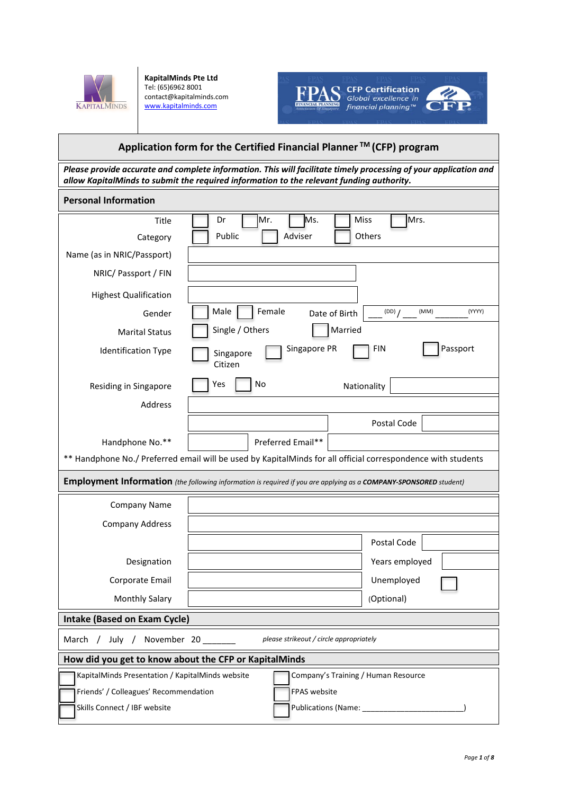

**KapitalMinds Pte Ltd** Tel: (65)6962 8001 contact@kapitalminds.com [www.kapitalminds.com](http://www.kapitalminds.com/)



# **Application form for the Certified Financial Planner TM (CFP) program**

*Please provide accurate and complete information. This will facilitate timely processing of your application and allow KapitalMinds to submit the required information to the relevant funding authority.*

| <b>Personal Information</b>                                                                                       |                                                                                                              |  |
|-------------------------------------------------------------------------------------------------------------------|--------------------------------------------------------------------------------------------------------------|--|
| Title                                                                                                             | Mr.<br>Ms.<br>Mrs.<br>Dr<br>Miss                                                                             |  |
| Category                                                                                                          | Adviser<br>Public<br>Others                                                                                  |  |
| Name (as in NRIC/Passport)                                                                                        |                                                                                                              |  |
| NRIC/ Passport / FIN                                                                                              |                                                                                                              |  |
| <b>Highest Qualification</b>                                                                                      |                                                                                                              |  |
| Gender                                                                                                            | Male<br>Female<br>(YYYY)<br>(DD)<br>(MM)<br>Date of Birth                                                    |  |
| <b>Marital Status</b>                                                                                             | Single / Others<br>Married                                                                                   |  |
| <b>Identification Type</b>                                                                                        | Passport<br>Singapore PR<br><b>FIN</b><br>Singapore<br>Citizen                                               |  |
| Residing in Singapore                                                                                             | No<br>Yes<br>Nationality                                                                                     |  |
| Address                                                                                                           |                                                                                                              |  |
|                                                                                                                   | Postal Code                                                                                                  |  |
| Handphone No.**                                                                                                   | Preferred Email**                                                                                            |  |
|                                                                                                                   | ** Handphone No./ Preferred email will be used by KapitalMinds for all official correspondence with students |  |
| Employment Information (the following information is required if you are applying as a COMPANY-SPONSORED student) |                                                                                                              |  |
| Company Name                                                                                                      |                                                                                                              |  |
| <b>Company Address</b>                                                                                            |                                                                                                              |  |
|                                                                                                                   | Postal Code                                                                                                  |  |
| Designation                                                                                                       | Years employed                                                                                               |  |
| Corporate Email                                                                                                   | Unemployed                                                                                                   |  |
| <b>Monthly Salary</b>                                                                                             | (Optional)                                                                                                   |  |
| Intake (Based on Exam Cycle)                                                                                      |                                                                                                              |  |
| November 20<br>March / July /<br>please strikeout / circle appropriately                                          |                                                                                                              |  |
| How did you get to know about the CFP or KapitalMinds                                                             |                                                                                                              |  |
| KapitalMinds Presentation / KapitalMinds website<br>Company's Training / Human Resource                           |                                                                                                              |  |
| Friends' / Colleagues' Recommendation<br>FPAS website                                                             |                                                                                                              |  |
| Skills Connect / IBF website                                                                                      |                                                                                                              |  |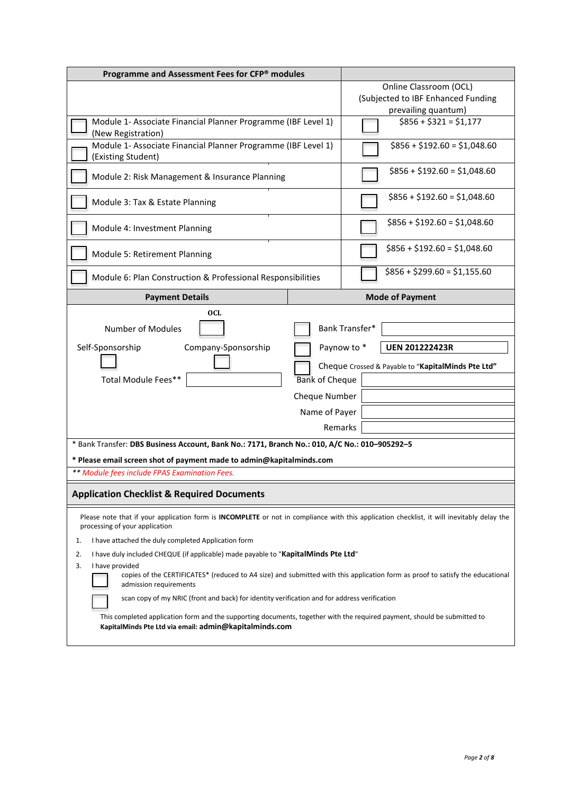| Programme and Assessment Fees for CFP® modules                                                                                                                                     |                       |                                                           |
|------------------------------------------------------------------------------------------------------------------------------------------------------------------------------------|-----------------------|-----------------------------------------------------------|
|                                                                                                                                                                                    |                       | Online Classroom (OCL)                                    |
|                                                                                                                                                                                    |                       | (Subjected to IBF Enhanced Funding<br>prevailing quantum) |
| Module 1- Associate Financial Planner Programme (IBF Level 1)                                                                                                                      |                       | $$856 + $321 = $1,177$                                    |
| (New Registration)                                                                                                                                                                 |                       |                                                           |
| Module 1- Associate Financial Planner Programme (IBF Level 1)<br>(Existing Student)                                                                                                |                       | $$856 + $192.60 = $1,048.60$                              |
| Module 2: Risk Management & Insurance Planning                                                                                                                                     |                       | $$856 + $192.60 = $1,048.60$                              |
| Module 3: Tax & Estate Planning                                                                                                                                                    |                       | $$856 + $192.60 = $1,048.60$                              |
| Module 4: Investment Planning                                                                                                                                                      |                       | $$856 + $192.60 = $1,048.60$                              |
| Module 5: Retirement Planning                                                                                                                                                      |                       | $$856 + $192.60 = $1,048.60$                              |
| Module 6: Plan Construction & Professional Responsibilities                                                                                                                        |                       | $$856 + $299.60 = $1,155.60$                              |
| <b>Payment Details</b>                                                                                                                                                             |                       | <b>Mode of Payment</b>                                    |
| <b>OCL</b>                                                                                                                                                                         |                       |                                                           |
| Number of Modules                                                                                                                                                                  |                       | Bank Transfer*                                            |
| Self-Sponsorship<br>Company-Sponsorship                                                                                                                                            |                       | Paynow to *<br><b>UEN 201222423R</b>                      |
|                                                                                                                                                                                    |                       | Cheque Crossed & Payable to "KapitalMinds Pte Ltd"        |
| Total Module Fees**                                                                                                                                                                | <b>Bank of Cheque</b> |                                                           |
|                                                                                                                                                                                    | Cheque Number         |                                                           |
|                                                                                                                                                                                    | Name of Payer         |                                                           |
|                                                                                                                                                                                    | Remarks               |                                                           |
|                                                                                                                                                                                    |                       |                                                           |
| * Bank Transfer: DBS Business Account, Bank No.: 7171, Branch No.: 010, A/C No.: 010-905292-5                                                                                      |                       |                                                           |
| * Please email screen shot of payment made to admin@kapitalminds.com                                                                                                               |                       |                                                           |
| ** Module fees include FPAS Examination Fees.                                                                                                                                      |                       |                                                           |
| <b>Application Checklist &amp; Required Documents</b>                                                                                                                              |                       |                                                           |
| Please note that if your application form is INCOMPLETE or not in compliance with this application checklist, it will inevitably delay the<br>processing of your application       |                       |                                                           |
| I have attached the duly completed Application form<br>1.                                                                                                                          |                       |                                                           |
| I have duly included CHEQUE (if applicable) made payable to "KapitalMinds Pte Ltd"<br>2.                                                                                           |                       |                                                           |
| I have provided<br>3.<br>copies of the CERTIFICATES* (reduced to A4 size) and submitted with this application form as proof to satisfy the educational<br>admission requirements   |                       |                                                           |
| scan copy of my NRIC (front and back) for identity verification and for address verification                                                                                       |                       |                                                           |
| This completed application form and the supporting documents, together with the required payment, should be submitted to<br>KapitalMinds Pte Ltd via email: admin@kapitalminds.com |                       |                                                           |
|                                                                                                                                                                                    |                       |                                                           |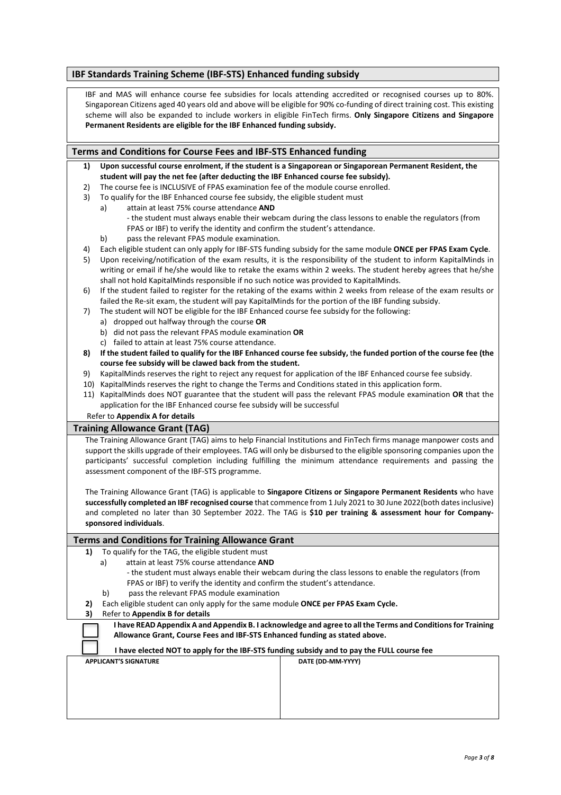## **IBF Standards Training Scheme (IBF-STS) Enhanced funding subsidy**

IBF and MAS will enhance course fee subsidies for locals attending accredited or recognised courses up to 80%. Singaporean Citizens aged 40 years old and above will be eligible for 90% co-funding of direct training cost. This existing scheme will also be expanded to include workers in eligible FinTech firms. **Only Singapore Citizens and Singapore Permanent Residents are eligible for the IBF Enhanced funding subsidy.**

## **Terms and Conditions for Course Fees and IBF-STS Enhanced funding**

- **1) Upon successful course enrolment, if the student is a Singaporean or Singaporean Permanent Resident, the student will pay the net fee (after deducting the IBF Enhanced course fee subsidy).**
- 2) The course fee is INCLUSIVE of FPAS examination fee of the module course enrolled.
- 3) To qualify for the IBF Enhanced course fee subsidy, the eligible student must
	- a) attain at least 75% course attendance **AND**
		- the student must always enable their webcam during the class lessons to enable the regulators (from FPAS or IBF) to verify the identity and confirm the student's attendance.
		- b) pass the relevant FPAS module examination.
- 4) Each eligible student can only apply for IBF-STS funding subsidy for the same module **ONCE per FPAS Exam Cycle**.
- 5) Upon receiving/notification of the exam results, it is the responsibility of the student to inform KapitalMinds in writing or email if he/she would like to retake the exams within 2 weeks. The student hereby agrees that he/she shall not hold KapitalMinds responsible if no such notice was provided to KapitalMinds.
- 6) If the student failed to register for the retaking of the exams within 2 weeks from release of the exam results or failed the Re-sit exam, the student will pay KapitalMinds for the portion of the IBF funding subsidy.
- 7) The student will NOT be eligible for the IBF Enhanced course fee subsidy for the following:
	- a) dropped out halfway through the course **OR**
	- b) did not pass the relevant FPAS module examination **OR**
	- c) failed to attain at least 75% course attendance.
- **8) If the student failed to qualify for the IBF Enhanced course fee subsidy,** t**he funded portion of the course fee (the course fee subsidy will be clawed back from the student.**
- 9) KapitalMinds reserves the right to reject any request for application of the IBF Enhanced course fee subsidy.
- 10) KapitalMinds reserves the right to change the Terms and Conditions stated in this application form.
- 11) KapitalMinds does NOT guarantee that the student will pass the relevant FPAS module examination **OR** that the application for the IBF Enhanced course fee subsidy will be successful

Refer to **Appendix A for details**

### **Training Allowance Grant (TAG)**

The Training Allowance Grant (TAG) aims to help Financial Institutions and FinTech firms manage manpower costs and support the skills upgrade of their employees. TAG will only be disbursed to the eligible sponsoring companies upon the participants' successful completion including fulfilling the minimum attendance requirements and passing the assessment component of the IBF-STS programme.

The Training Allowance Grant (TAG) is applicable to **Singapore Citizens or Singapore Permanent Residents** who have **successfully completed an IBF recognised course** that commence from 1 July 2021 to 30 June 2022(both dates inclusive) and completed no later than 30 September 2022. The TAG is **\$10 per training & assessment hour for Companysponsored individuals**.

### **Terms and Conditions for Training Allowance Grant**

- **1)** To qualify for the TAG, the eligible student must
	- a) attain at least 75% course attendance **AND**
		- the student must always enable their webcam during the class lessons to enable the regulators (from FPAS or IBF) to verify the identity and confirm the student's attendance.
	- b) pass the relevant FPAS module examination
- **2)** Each eligible student can only apply for the same module **ONCE per FPAS Exam Cycle.**
- **3)** Refer to **Appendix B for details**

**I have READ Appendix A and Appendix B. I acknowledge and agree to all the Terms and Conditions for Training Allowance Grant, Course Fees and IBF-STS Enhanced funding as stated above.**

| I have elected NOT to apply for the IBF-STS funding subsidy and to pay the FULL course fee |                   |  |  |
|--------------------------------------------------------------------------------------------|-------------------|--|--|
| APPLICANT'S SIGNATURE                                                                      | DATE (DD-MM-YYYY) |  |  |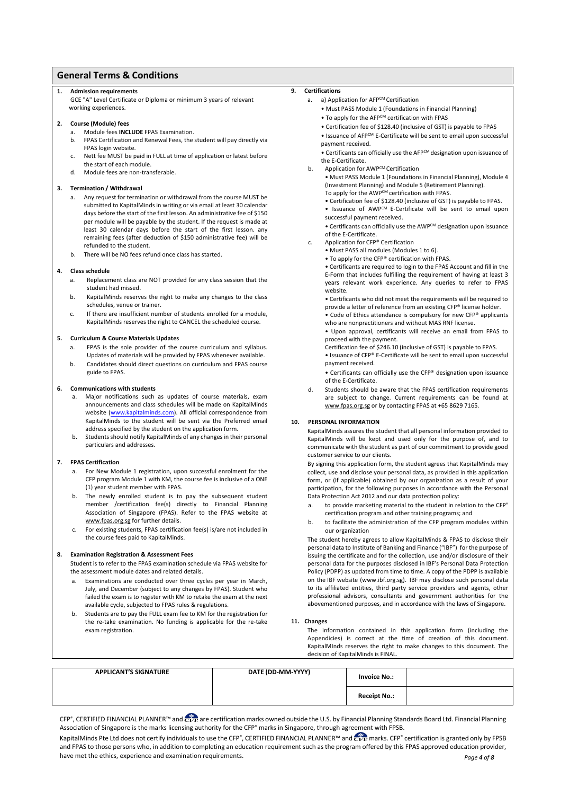## **General Terms & Conditions**

#### **1. Admission requirements**

 GCE "A" Level Certificate or Diploma or minimum 3 years of relevant working experiences.

#### **2. Course (Module) fees**

- a. Module fees **INCLUDE** FPAS Examination.
- FPAS Certification and Renewal Fees, the student will pay directly via FPAS login website.
- c. Nett fee MUST be paid in FULL at time of application or latest before the start of each module.
- d. Module fees are non-transferable.

#### **3. Termination / Withdrawal**

- a. Any request for termination or withdrawal from the course MUST be submitted to KapitalMinds in writing or via email at least 30 calendar days before the start of the first lesson. An administrative fee of \$150 per module will be payable by the student. If the request is made at least 30 calendar days before the start of the first lesson. any remaining fees (after deduction of \$150 administrative fee) will be refunded to the student.
- b. There will be NO fees refund once class has started.

#### **4. Class schedule**

- Replacement class are NOT provided for any class session that the student had missed.
- b. KapitalMinds reserves the right to make any changes to the class schedules, venue or trainer.
- c. If there are insufficient number of students enrolled for a module, KapitalMinds reserves the right to CANCEL the scheduled course.

#### **5. Curriculum & Course Materials Updates**

- a. FPAS is the sole provider of the course curriculum and syllabus. Updates of materials will be provided by FPAS whenever available.
- b. Candidates should direct questions on curriculum and FPAS course guide to FPAS.

#### **6. Communications with students**

- Major notifications such as updates of course materials, exam announcements and class schedules will be made on KapitalMinds website [\(www.kapitalminds.com\).](http://www.kapitalminds.com/) All official correspondence from KapitalMinds to the student will be sent via the Preferred email address specified by the student on the application form.
- b. Students should notify KapitalMinds of any changes in their personal particulars and addresses.

#### **7. FPAS Certification**

- For New Module 1 registration, upon successful enrolment for the CFP program Module 1 with KM, the course fee is inclusive of a ONE (1) year student member with FPAS.
- b. The newly enrolled student is to pay the subsequent student member /certification fee(s) directly to Financial Planning Association of Singapore (FPAS). Refer to the FPAS website at [www.fpas.org.sg](http://www.fpas.org.sg/) for further details.
- For existing students, FPAS certification fee(s) is/are not included in the course fees paid to KapitalMinds.

#### **8. Examination Registration & Assessment Fees**

Student is to refer to the FPAS examination schedule via FPAS website for the assessment module dates and related details.

- a. Examinations are conducted over three cycles per year in March, July, and December (subject to any changes by FPAS). Student who failed the exam is to register with KM to retake the exam at the next available cycle, subjected to FPAS rules & regulations.
- b. Students are to pay the FULL exam fee to KM for the registration for the re-take examination. No funding is applicable for the re-take exam registration.

### **9. Certifications**

- a. a) Application for AFPCM Certification
	- Must PASS Module 1 (Foundations in Financial Planning)
	- To apply for the AFPCM certification with FPAS
	- Certification fee of \$128.40 (inclusive of GST) is payable to FPAS • Issuance of AFPCM E-Certificate will be sent to email upon successful payment received.

• Certificants can officially use the AFPCM designation upon issuance of the E-Certificate.

b. Application for AWPCM Certification

• Must PASS Module 1 (Foundations in Financial Planning), Module 4 (Investment Planning) and Module 5 (Retirement Planning). To apply for the AWP<sup>CM</sup> certification with FPAS.

- Certification fee of \$128.40 (inclusive of GST) is payable to FPAS.
- Issuance of AWPCM E-Certificate will be sent to email upon

successful payment received. • Certificants can officially use the AWPCM designation upon issuance of the E-Certificate.

- c. Application for CFP® Certification
	-
	- Must PASS all modules (Modules 1 to 6).
	- To apply for the CFP® certification with FPAS.

• Certificants are required to login to the FPAS Account and fill in the E-Form that includes fulfilling the requirement of having at least 3 years relevant work experience. Any queries to refer to FPAS website.

• Certificants who did not meet the requirements will be required to provide a letter of reference from an existing CFP® license holder.

• Code of Ethics attendance is compulsory for new CFP® applicants who are nonpractitioners and without MAS RNF license.

• Upon approval, certificants will receive an email from FPAS to proceed with the payment.

Certification fee of \$246.10 (inclusive of GST) is payable to FPAS. • Issuance of CFP® E-Certificate will be sent to email upon successful payment received.

• Certificants can officially use the CFP® designation upon issuance of the E-Certificate.

d. Students should be aware that the FPAS certification requirements are subject to change. Current requirements can be found at [www.fpas.org.sg](http://www.fpas.org.sg/) or by contacting FPAS at +65 8629 7165.

### **10. PERSONAL INFORMATION**

KapitalMinds assures the student that all personal information provided to KapitalMinds will be kept and used only for the purpose of, and to communicate with the student as part of our commitment to provide good customer service to our clients.

By signing this application form, the student agrees that KapitalMinds may collect, use and disclose your personal data, as provided in this application form, or (if applicable) obtained by our organization as a result of your participation, for the following purposes in accordance with the Personal Data Protection Act 2012 and our data protection policy:

- to provide marketing material to the student in relation to the CFP® certification program and other training programs; and
- b. to facilitate the administration of the CFP program modules within our organization

The student hereby agrees to allow KapitalMinds & FPAS to disclose their personal data to Institute of Banking and Finance ("IBF") for the purpose of issuing the certificate and for the collection, use and/or disclosure of their personal data for the purposes disclosed in IBF's Personal Data Protection Policy (PDPP) as updated from time to time. A copy of the PDPP is available on the IBF website (www.ibf.org.sg). IBF may disclose such personal data to its affiliated entities, third party service providers and agents, other professional advisors, consultants and government authorities for the abovementioned purposes, and in accordance with the laws of Singapore.

#### **11. Changes**

The information contained in this application form (including the Appendicies) is correct at the time of creation of this document. KapitalMInds reserves the right to make changes to this document. The decision of KapitalMinds is FINAL.

| <b>APPLICANT'S SIGNATURE</b> | DATE (DD-MM-YYYY) | <b>Invoice No.:</b> |  |
|------------------------------|-------------------|---------------------|--|
|                              |                   | <b>Receipt No.:</b> |  |

 $CF^{\circ}$ , CERTIFIED FINANCIAL PLANNER™ and  $CF^{\circ}$  are certification marks owned outside the U.S. by Financial Planning Standards Board Ltd. Financial Planning Association of Singapore is the marks licensing authority for the CFP® marks in Singapore, through agreement with FPSB.

*Page 4 of 8* KapitalMinds Pte Ltd does not certify individuals to use the CFP®, CERTIFIED FINANCIAL PLANNER™ and CFP marks. CFP® certification is granted only by FPSB and FPAS to those persons who, in addition to completing an education requirement such as the program offered by this FPAS approved education provider, have met the ethics, experience and examination requirements.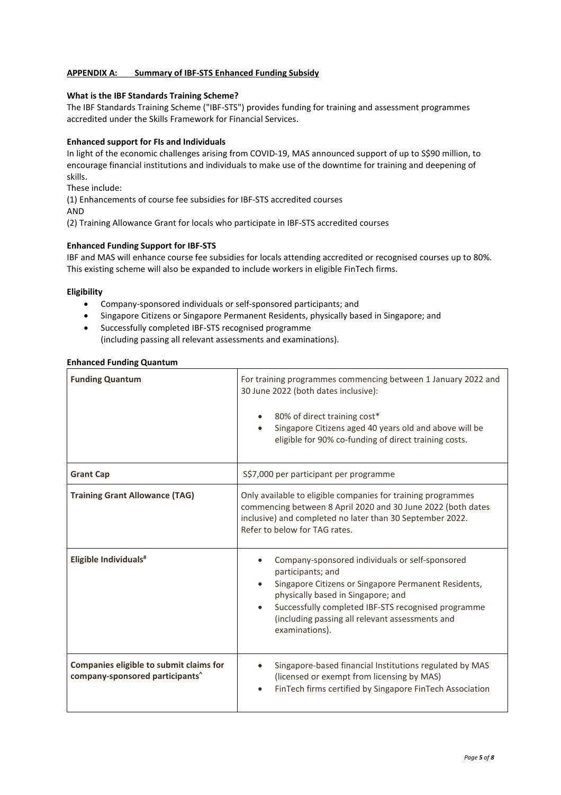## **APPENDIX A: Summary of IBF-STS Enhanced Funding Subsidy**

## **What is the IBF Standards Training Scheme?**

The IBF Standards Training Scheme ("IBF-STS") provides funding for training and assessment programmes accredited under the Skills Framework for Financial Services.

## **Enhanced support for FIs and Individuals**

In light of the economic challenges arising from COVID-19, MAS announced support of up to S\$90 million, to encourage financial institutions and individuals to make use of the downtime for training and deepening of skills.

These include:

(1) Enhancements of course fee subsidies for IBF-STS accredited courses

AND

(2) Training Allowance Grant for locals who participate in IBF-STS accredited courses

## **Enhanced Funding Support for IBF-STS**

IBF and MAS will enhance course fee subsidies for locals attending accredited or recognised courses up to 80%. This existing scheme will also be expanded to include workers in eligible FinTech firms.

### **Eligibility**

- Company-sponsored individuals or self-sponsored participants; and
- Singapore Citizens or Singapore Permanent Residents, physically based in Singapore; and
- Successfully completed IBF-STS recognised programme (including passing all relevant assessments and examinations).

| <b>Funding Quantum</b>                                                                 | For training programmes commencing between 1 January 2022 and<br>30 June 2022 (both dates inclusive):<br>80% of direct training cost*<br>Singapore Citizens aged 40 years old and above will be<br>eligible for 90% co-funding of direct training costs.                                       |  |
|----------------------------------------------------------------------------------------|------------------------------------------------------------------------------------------------------------------------------------------------------------------------------------------------------------------------------------------------------------------------------------------------|--|
| <b>Grant Cap</b>                                                                       | S\$7,000 per participant per programme                                                                                                                                                                                                                                                         |  |
| <b>Training Grant Allowance (TAG)</b>                                                  | Only available to eligible companies for training programmes<br>commencing between 8 April 2020 and 30 June 2022 (both dates<br>inclusive) and completed no later than 30 September 2022.<br>Refer to below for TAG rates.                                                                     |  |
| Eligible Individuals <sup>#</sup>                                                      | Company-sponsored individuals or self-sponsored<br>participants; and<br>Singapore Citizens or Singapore Permanent Residents,<br>physically based in Singapore; and<br>Successfully completed IBF-STS recognised programme<br>(including passing all relevant assessments and<br>examinations). |  |
| Companies eligible to submit claims for<br>company-sponsored participants <sup>^</sup> | Singapore-based financial Institutions regulated by MAS<br>(licensed or exempt from licensing by MAS)<br>FinTech firms certified by Singapore FinTech Association                                                                                                                              |  |

## **Enhanced Funding Quantum**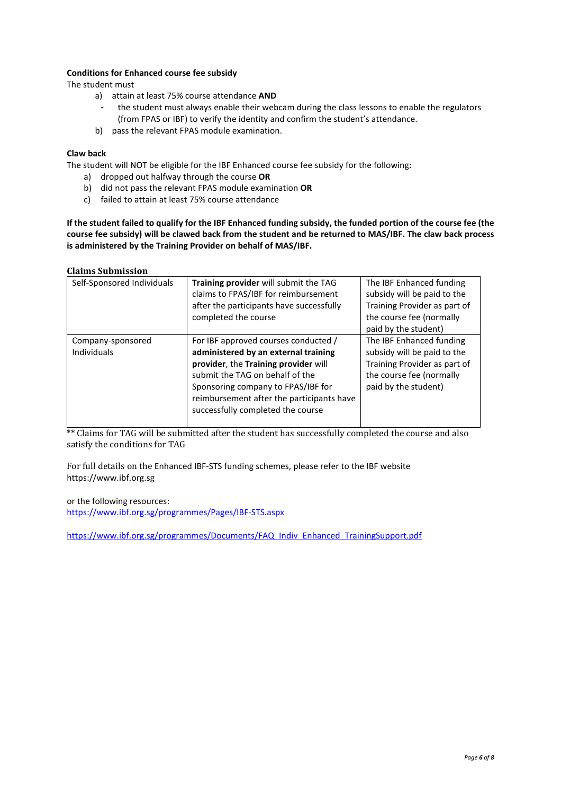## **Conditions for Enhanced course fee subsidy**

The student must

- a) attain at least 75% course attendance **AND**
	- **-** the student must always enable their webcam during the class lessons to enable the regulators (from FPAS or IBF) to verify the identity and confirm the student's attendance.
- b) pass the relevant FPAS module examination.

## **Claw back**

The student will NOT be eligible for the IBF Enhanced course fee subsidy for the following:

- a) dropped out halfway through the course **OR**
- b) did not pass the relevant FPAS module examination **OR**
- c) failed to attain at least 75% course attendance

**If the student failed to qualify for the IBF Enhanced funding subsidy, the funded portion of the course fee (the course fee subsidy) will be clawed back from the student and be returned to MAS/IBF. The claw back process is administered by the Training Provider on behalf of MAS/IBF.**

### **Claims Submission**

| Self-Sponsored Individuals              | Training provider will submit the TAG<br>claims to FPAS/IBF for reimbursement<br>after the participants have successfully                                                                                                                                                       | The IBF Enhanced funding<br>subsidy will be paid to the<br>Training Provider as part of                                                     |
|-----------------------------------------|---------------------------------------------------------------------------------------------------------------------------------------------------------------------------------------------------------------------------------------------------------------------------------|---------------------------------------------------------------------------------------------------------------------------------------------|
|                                         | completed the course                                                                                                                                                                                                                                                            | the course fee (normally<br>paid by the student)                                                                                            |
| Company-sponsored<br><b>Individuals</b> | For IBF approved courses conducted /<br>administered by an external training<br>provider, the Training provider will<br>submit the TAG on behalf of the<br>Sponsoring company to FPAS/IBF for<br>reimbursement after the participants have<br>successfully completed the course | The IBF Enhanced funding<br>subsidy will be paid to the<br>Training Provider as part of<br>the course fee (normally<br>paid by the student) |

\*\* Claims for TAG will be submitted after the student has successfully completed the course and also satisfy the conditions for TAG

For full details on the Enhanced IBF-STS funding schemes, please refer to the IBF website https://www.ibf.org.sg

or the following resources:

<https://www.ibf.org.sg/programmes/Pages/IBF-STS.aspx>

[https://www.ibf.org.sg/programmes/Documents/FAQ\\_Indiv\\_Enhanced\\_TrainingSupport.pdf](https://www.ibf.org.sg/programmes/Documents/FAQ_Indiv_Enhanced_TrainingSupport.pdf)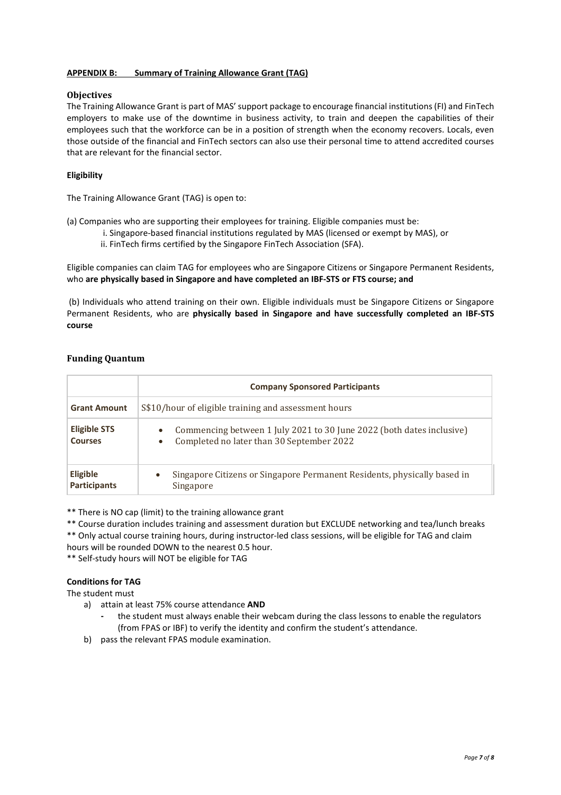## **APPENDIX B: Summary of Training Allowance Grant (TAG)**

## **Objectives**

The Training Allowance Grant is part of MAS' support package to encourage financial institutions (FI) and FinTech employers to make use of the downtime in business activity, to train and deepen the capabilities of their employees such that the workforce can be in a position of strength when the economy recovers. Locals, even those outside of the financial and FinTech sectors can also use their personal time to attend accredited courses that are relevant for the financial sector.

## **Eligibility**

The Training Allowance Grant (TAG) is open to:

(a) Companies who are supporting their employees for training. Eligible companies must be:

- i. Singapore-based financial institutions regulated by MAS (licensed or exempt by MAS), or
- ii. FinTech firms certified by the Singapore FinTech Association (SFA).

Eligible companies can claim TAG for employees who are Singapore Citizens or Singapore Permanent Residents, who **are physically based in Singapore and have completed an IBF-STS or FTS course; and**

(b) Individuals who attend training on their own. Eligible individuals must be Singapore Citizens or Singapore Permanent Residents, who are **physically based in Singapore and have successfully completed an IBF-STS course**

## **Funding Quantum**

|                                       | <b>Company Sponsored Participants</b>                                                                                                        |  |
|---------------------------------------|----------------------------------------------------------------------------------------------------------------------------------------------|--|
| <b>Grant Amount</b>                   | S\$10/hour of eligible training and assessment hours                                                                                         |  |
| <b>Eligible STS</b><br><b>Courses</b> | Commencing between 1 July 2021 to 30 June 2022 (both dates inclusive)<br>$\bullet$<br>Completed no later than 30 September 2022<br>$\bullet$ |  |
| Eligible<br><b>Participants</b>       | Singapore Citizens or Singapore Permanent Residents, physically based in<br>٠<br>Singapore                                                   |  |

\*\* There is NO cap (limit) to the training allowance grant

\*\* Course duration includes training and assessment duration but EXCLUDE networking and tea/lunch breaks \*\* Only actual course training hours, during instructor-led class sessions, will be eligible for TAG and claim hours will be rounded DOWN to the nearest 0.5 hour.

\*\* Self-study hours will NOT be eligible for TAG

## **Conditions for TAG**

The student must

- a) attain at least 75% course attendance **AND**
	- **-** the student must always enable their webcam during the class lessons to enable the regulators (from FPAS or IBF) to verify the identity and confirm the student's attendance.
- b) pass the relevant FPAS module examination.